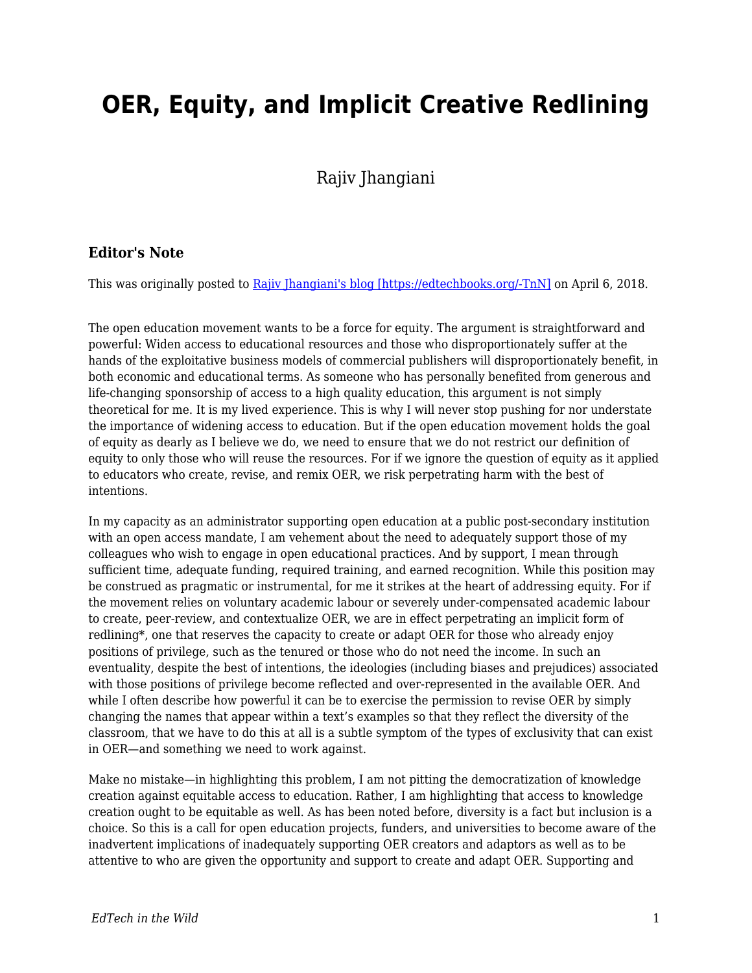## **OER, Equity, and Implicit Creative Redlining**

Rajiv Jhangiani

## **Editor's Note**

This was originally posted to [Rajiv Jhangiani's blog \[https://edtechbooks.org/-TnN\]](http://thatpsychprof.com/oer-equity-and-implicit-creative-redlining/) on April 6, 2018.

The open education movement wants to be a force for equity. The argument is straightforward and powerful: Widen access to educational resources and those who disproportionately suffer at the hands of the exploitative business models of commercial publishers will disproportionately benefit, in both economic and educational terms. As someone who has personally benefited from generous and life-changing sponsorship of access to a high quality education, this argument is not simply theoretical for me. It is my lived experience. This is why I will never stop pushing for nor understate the importance of widening access to education. But if the open education movement holds the goal of equity as dearly as I believe we do, we need to ensure that we do not restrict our definition of equity to only those who will reuse the resources. For if we ignore the question of equity as it applied to educators who create, revise, and remix OER, we risk perpetrating harm with the best of intentions.

In my capacity as an administrator supporting open education at a public post-secondary institution with an open access mandate, I am vehement about the need to adequately support those of my colleagues who wish to engage in open educational practices. And by support, I mean through sufficient time, adequate funding, required training, and earned recognition. While this position may be construed as pragmatic or instrumental, for me it strikes at the heart of addressing equity. For if the movement relies on voluntary academic labour or severely under-compensated academic labour to create, peer-review, and contextualize OER, we are in effect perpetrating an implicit form of redlining\*, one that reserves the capacity to create or adapt OER for those who already enjoy positions of privilege, such as the tenured or those who do not need the income. In such an eventuality, despite the best of intentions, the ideologies (including biases and prejudices) associated with those positions of privilege become reflected and over-represented in the available OER. And while I often describe how powerful it can be to exercise the permission to revise OER by simply changing the names that appear within a text's examples so that they reflect the diversity of the classroom, that we have to do this at all is a subtle symptom of the types of exclusivity that can exist in OER—and something we need to work against.

Make no mistake—in highlighting this problem, I am not pitting the democratization of knowledge creation against equitable access to education. Rather, I am highlighting that access to knowledge creation ought to be equitable as well. As has been noted before, diversity is a fact but inclusion is a choice. So this is a call for open education projects, funders, and universities to become aware of the inadvertent implications of inadequately supporting OER creators and adaptors as well as to be attentive to who are given the opportunity and support to create and adapt OER. Supporting and